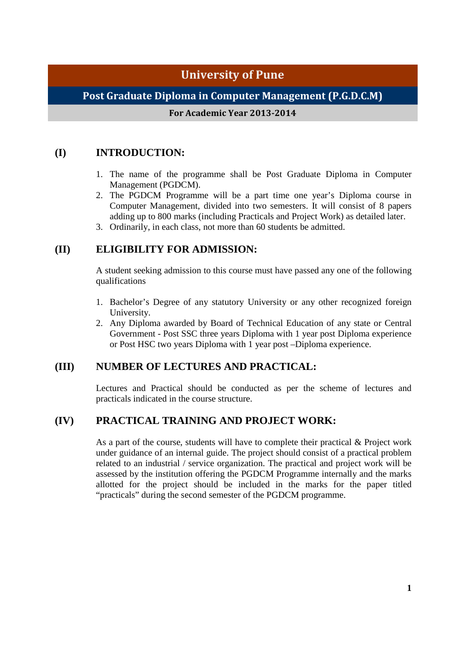## **University of Pune**

## **Post Graduate Diploma in Computer Management (P.G.D.C.M)**

#### **For Academic Year 2013-2014**

## **(I) INTRODUCTION:**

- 1. The name of the programme shall be Post Graduate Diploma in Computer Management (PGDCM).
- 2. The PGDCM Programme will be a part time one year's Diploma course in Computer Management, divided into two semesters. It will consist of 8 papers adding up to 800 marks (including Practicals and Project Work) as detailed later.
- 3. Ordinarily, in each class, not more than 60 students be admitted.

## **(II) ELIGIBILITY FOR ADMISSION:**

A student seeking admission to this course must have passed any one of the following qualifications

- 1. Bachelor's Degree of any statutory University or any other recognized foreign University.
- 2. Any Diploma awarded by Board of Technical Education of any state or Central Government - Post SSC three years Diploma with 1 year post Diploma experience or Post HSC two years Diploma with 1 year post –Diploma experience.

## **(III) NUMBER OF LECTURES AND PRACTICAL:**

Lectures and Practical should be conducted as per the scheme of lectures and practicals indicated in the course structure.

## **(IV) PRACTICAL TRAINING AND PROJECT WORK:**

As a part of the course, students will have to complete their practical & Project work under guidance of an internal guide. The project should consist of a practical problem related to an industrial / service organization. The practical and project work will be assessed by the institution offering the PGDCM Programme internally and the marks allotted for the project should be included in the marks for the paper titled "practicals" during the second semester of the PGDCM programme.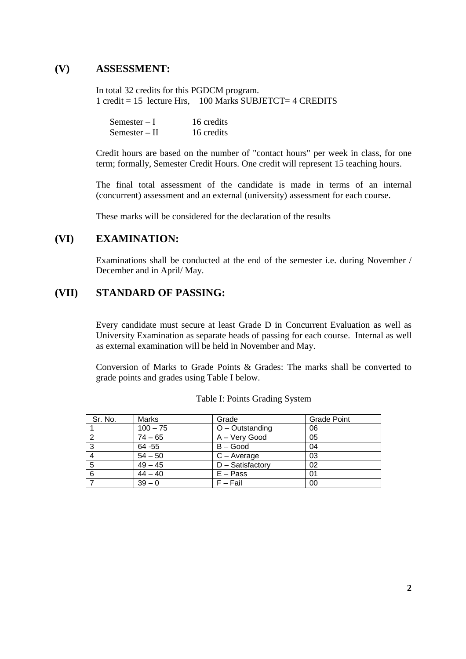### **(V) ASSESSMENT:**

In total 32 credits for this PGDCM program. 1 credit = 15 lecture Hrs.  $100$  Marks SUBJETCT= 4 CREDITS

| $Semester-I$  | 16 credits |
|---------------|------------|
| Semester – II | 16 credits |

Credit hours are based on the number of "contact hours" per week in class, for one term; formally, Semester Credit Hours. One credit will represent 15 teaching hours.

The final total assessment of the candidate is made in terms of an internal (concurrent) assessment and an external (university) assessment for each course.

These marks will be considered for the declaration of the results

## **(VI) EXAMINATION:**

Examinations shall be conducted at the end of the semester i.e. during November / December and in April/ May.

#### **(VII) STANDARD OF PASSING:**

Every candidate must secure at least Grade D in Concurrent Evaluation as well as University Examination as separate heads of passing for each course. Internal as well as external examination will be held in November and May.

Conversion of Marks to Grade Points & Grades: The marks shall be converted to grade points and grades using Table I below.

| Sr. No. | Marks      | Grade             | <b>Grade Point</b> |
|---------|------------|-------------------|--------------------|
|         | $100 - 75$ | $O -$ Outstanding | 06                 |
|         | $74 - 65$  | A - Very Good     | 05                 |
| 3       | 64 - 55    | $B - Good$        | 04                 |
|         | $54 - 50$  | $C - Average$     | 03                 |
| 5       | $49 - 45$  | D - Satisfactory  | 02                 |
| 6       | $44 - 40$  | $E - Pass$        | 01                 |
|         | $39 - 0$   | $F - Fail$        | 00                 |

|  |  | Table I: Points Grading System |  |
|--|--|--------------------------------|--|
|--|--|--------------------------------|--|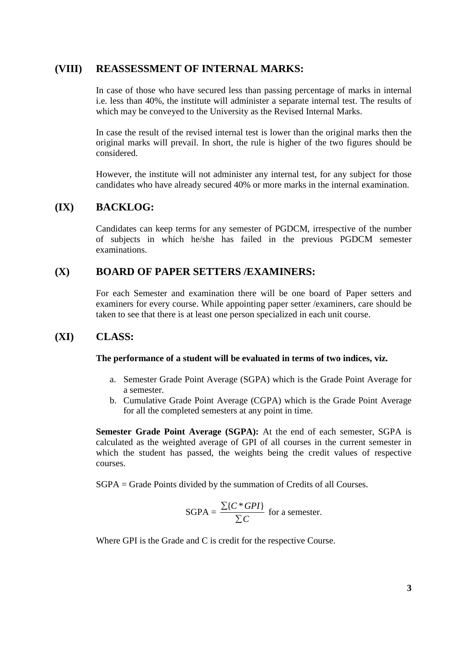#### **(VIII) REASSESSMENT OF INTERNAL MARKS:**

In case of those who have secured less than passing percentage of marks in internal i.e. less than 40%, the institute will administer a separate internal test. The results of which may be conveyed to the University as the Revised Internal Marks.

In case the result of the revised internal test is lower than the original marks then the original marks will prevail. In short, the rule is higher of the two figures should be considered.

However, the institute will not administer any internal test, for any subject for those candidates who have already secured 40% or more marks in the internal examination.

### **(IX) BACKLOG:**

Candidates can keep terms for any semester of PGDCM, irrespective of the number of subjects in which he/she has failed in the previous PGDCM semester examinations.

## **(X) BOARD OF PAPER SETTERS /EXAMINERS:**

For each Semester and examination there will be one board of Paper setters and examiners for every course. While appointing paper setter /examiners, care should be taken to see that there is at least one person specialized in each unit course.

### **(XI) CLASS:**

#### **The performance of a student will be evaluated in terms of two indices, viz.**

- a. Semester Grade Point Average (SGPA) which is the Grade Point Average for a semester.
- b. Cumulative Grade Point Average (CGPA) which is the Grade Point Average for all the completed semesters at any point in time.

**Semester Grade Point Average (SGPA):** At the end of each semester, SGPA is calculated as the weighted average of GPI of all courses in the current semester in which the student has passed, the weights being the credit values of respective courses.

SGPA = Grade Points divided by the summation of Credits of all Courses.

SGPA = 
$$
\frac{\sum \{C * GPI\}}{\sum C}
$$
 for a semester.

Where GPI is the Grade and C is credit for the respective Course.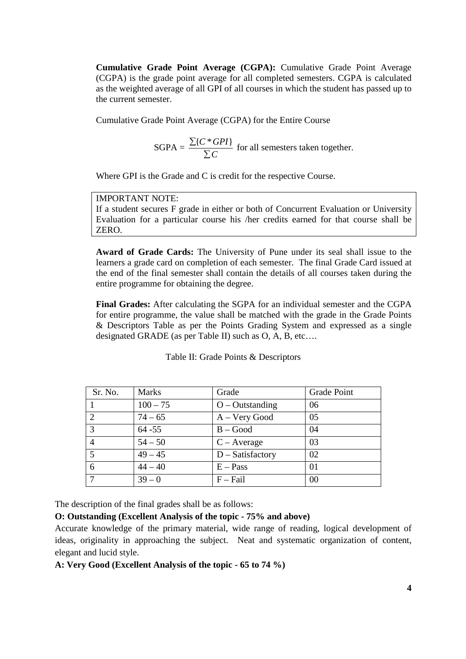**Cumulative Grade Point Average (CGPA):** Cumulative Grade Point Average (CGPA) is the grade point average for all completed semesters. CGPA is calculated as the weighted average of all GPI of all courses in which the student has passed up to the current semester.

Cumulative Grade Point Average (CGPA) for the Entire Course

SGPA = 
$$
\frac{\sum \{C * GPI\}}{\sum C}
$$
 for all semesters taken together.

Where GPI is the Grade and C is credit for the respective Course.

#### IMPORTANT NOTE:

If a student secures F grade in either or both of Concurrent Evaluation or University Evaluation for a particular course his /her credits earned for that course shall be ZERO.

**Award of Grade Cards:** The University of Pune under its seal shall issue to the learners a grade card on completion of each semester. The final Grade Card issued at the end of the final semester shall contain the details of all courses taken during the entire programme for obtaining the degree.

**Final Grades:** After calculating the SGPA for an individual semester and the CGPA for entire programme, the value shall be matched with the grade in the Grade Points & Descriptors Table as per the Points Grading System and expressed as a single designated GRADE (as per Table II) such as O, A, B, etc….

| Sr. No.        | <b>Marks</b> | Grade              | <b>Grade Point</b> |
|----------------|--------------|--------------------|--------------------|
|                | $100 - 75$   | $O - Outstanding$  | 06                 |
| 2              | $74 - 65$    | A – Very Good      | 05                 |
| 3              | $64 - 55$    | $B - Good$         | 04                 |
| $\overline{4}$ | $54 - 50$    | $C - Average$      | 03                 |
| 5              | $49 - 45$    | $D - Satisfactory$ | 02                 |
| 6              | $44 - 40$    | $E - Pass$         | 01                 |
|                | $39 - 0$     | $F - Fail$         | 00                 |

Table II: Grade Points & Descriptors

The description of the final grades shall be as follows:

#### **O: Outstanding (Excellent Analysis of the topic - 75% and above)**

Accurate knowledge of the primary material, wide range of reading, logical development of ideas, originality in approaching the subject. Neat and systematic organization of content, elegant and lucid style.

#### **A: Very Good (Excellent Analysis of the topic - 65 to 74 %)**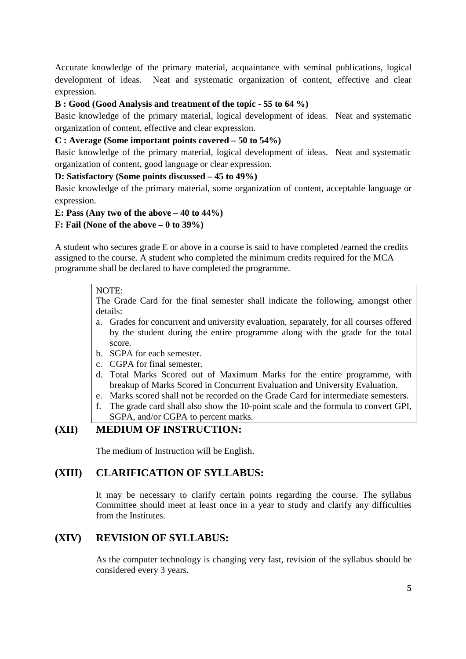Accurate knowledge of the primary material, acquaintance with seminal publications, logical development of ideas. Neat and systematic organization of content, effective and clear expression.

#### **B : Good (Good Analysis and treatment of the topic - 55 to 64 %)**

Basic knowledge of the primary material, logical development of ideas. Neat and systematic organization of content, effective and clear expression.

#### **C : Average (Some important points covered – 50 to 54%)**

Basic knowledge of the primary material, logical development of ideas. Neat and systematic organization of content, good language or clear expression.

#### **D: Satisfactory (Some points discussed – 45 to 49%)**

Basic knowledge of the primary material, some organization of content, acceptable language or expression.

#### **E: Pass (Any two of the above – 40 to 44%)**

**F: Fail (None of the above – 0 to 39%)** 

A student who secures grade E or above in a course is said to have completed /earned the credits assigned to the course. A student who completed the minimum credits required for the MCA programme shall be declared to have completed the programme.

### NOTE:

The Grade Card for the final semester shall indicate the following, amongst other details:

- a. Grades for concurrent and university evaluation, separately, for all courses offered by the student during the entire programme along with the grade for the total score.
- b. SGPA for each semester.
- c. CGPA for final semester.
- d. Total Marks Scored out of Maximum Marks for the entire programme, with breakup of Marks Scored in Concurrent Evaluation and University Evaluation.
- e. Marks scored shall not be recorded on the Grade Card for intermediate semesters.
- f. The grade card shall also show the 10-point scale and the formula to convert GPI,
- SGPA, and/or CGPA to percent marks.

## **(XII) MEDIUM OF INSTRUCTION:**

The medium of Instruction will be English.

### **(XIII) CLARIFICATION OF SYLLABUS:**

It may be necessary to clarify certain points regarding the course. The syllabus Committee should meet at least once in a year to study and clarify any difficulties from the Institutes.

## **(XIV) REVISION OF SYLLABUS:**

As the computer technology is changing very fast, revision of the syllabus should be considered every 3 years.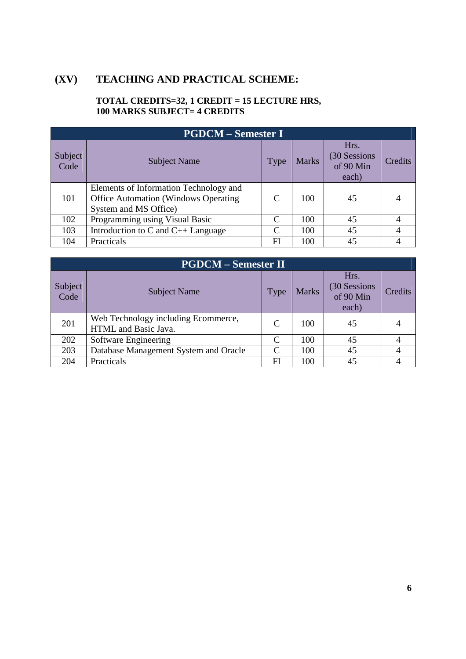# **(XV) TEACHING AND PRACTICAL SCHEME:**

## **TOTAL CREDITS=32, 1 CREDIT = 15 LECTURE HRS, 100 MARKS SUBJECT= 4 CREDITS**

| <b>PGDCM – Semester I</b> |                                                                                                         |             |              |                                             |         |  |
|---------------------------|---------------------------------------------------------------------------------------------------------|-------------|--------------|---------------------------------------------|---------|--|
| Subject<br>Code           | <b>Subject Name</b>                                                                                     | <b>Type</b> | <b>Marks</b> | Hrs.<br>(30 Sessions)<br>of 90 Min<br>each) | Credits |  |
| 101                       | Elements of Information Technology and<br>Office Automation (Windows Operating<br>System and MS Office) | C           | 100          | 45                                          |         |  |
| 102                       | Programming using Visual Basic                                                                          | C           | 100          | 45                                          |         |  |
| 103                       | Introduction to $C$ and $C_{++}$ Language                                                               | C           | 100          | 45                                          |         |  |
| 104                       | Practicals                                                                                              | FI          | 100          | 45                                          |         |  |

|                 | <b>PGDCM – Semester II</b>                                  |               |              |                                            |         |  |  |  |  |
|-----------------|-------------------------------------------------------------|---------------|--------------|--------------------------------------------|---------|--|--|--|--|
| Subject<br>Code | <b>Subject Name</b>                                         | Type          | <b>Marks</b> | Hrs.<br>(30 Sessions<br>of 90 Min<br>each) | Credits |  |  |  |  |
| 201             | Web Technology including Ecommerce,<br>HTML and Basic Java. | C             | 100          | 45                                         |         |  |  |  |  |
| 202             | Software Engineering                                        | C             | 100          | 45                                         |         |  |  |  |  |
| 203             | Database Management System and Oracle                       | $\mathcal{C}$ | 100          | 45                                         |         |  |  |  |  |
| 204             | Practicals                                                  | FI            | 100          | 45                                         |         |  |  |  |  |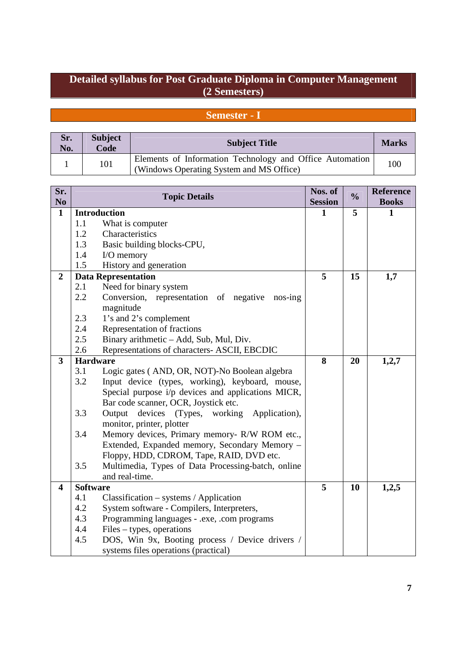## **Detailed syllabus for Post Graduate Diploma in Computer Management (2 Semesters)**

# **Semester - I**

| Sr.<br>No. | <b>Subject</b><br>Code | <b>Subject Title</b>                                                                                 | <b>Marks</b> |
|------------|------------------------|------------------------------------------------------------------------------------------------------|--------------|
|            | 101                    | Elements of Information Technology and Office Automation<br>(Windows Operating System and MS Office) | 100          |

| Sr.<br>N <sub>o</sub> |                 | <b>Topic Details</b>                                | Nos. of<br><b>Session</b> | $\frac{0}{0}$ | <b>Reference</b><br><b>Books</b> |
|-----------------------|-----------------|-----------------------------------------------------|---------------------------|---------------|----------------------------------|
| $\mathbf{1}$          |                 | <b>Introduction</b>                                 | 1                         | 5             | 1                                |
|                       | 1.1             | What is computer                                    |                           |               |                                  |
|                       | 1.2             | Characteristics                                     |                           |               |                                  |
|                       | 1.3             | Basic building blocks-CPU,                          |                           |               |                                  |
|                       | 1.4             | I/O memory                                          |                           |               |                                  |
|                       | 1.5             | History and generation                              |                           |               |                                  |
| $\overline{2}$        |                 | <b>Data Representation</b>                          | 5                         | 15            | 1,7                              |
|                       | 2.1             | Need for binary system                              |                           |               |                                  |
|                       | 2.2             | Conversion, representation of negative<br>$nos-ing$ |                           |               |                                  |
|                       |                 | magnitude                                           |                           |               |                                  |
|                       | 2.3             | 1's and 2's complement                              |                           |               |                                  |
|                       | 2.4             | Representation of fractions                         |                           |               |                                  |
|                       | 2.5             | Binary arithmetic - Add, Sub, Mul, Div.             |                           |               |                                  |
|                       | 2.6             | Representations of characters- ASCII, EBCDIC        |                           |               |                                  |
| 3                     | <b>Hardware</b> |                                                     | 8                         | 20            | 1,2,7                            |
|                       | 3.1             | Logic gates (AND, OR, NOT)-No Boolean algebra       |                           |               |                                  |
|                       | 3.2             | Input device (types, working), keyboard, mouse,     |                           |               |                                  |
|                       |                 | Special purpose i/p devices and applications MICR,  |                           |               |                                  |
|                       |                 | Bar code scanner, OCR, Joystick etc.                |                           |               |                                  |
|                       | 3.3             | devices<br>(Types, working Application),<br>Output  |                           |               |                                  |
|                       |                 | monitor, printer, plotter                           |                           |               |                                  |
|                       | 3.4             | Memory devices, Primary memory- R/W ROM etc.,       |                           |               |                                  |
|                       |                 | Extended, Expanded memory, Secondary Memory -       |                           |               |                                  |
|                       |                 | Floppy, HDD, CDROM, Tape, RAID, DVD etc.            |                           |               |                                  |
|                       | 3.5             | Multimedia, Types of Data Processing-batch, online  |                           |               |                                  |
|                       |                 | and real-time.                                      |                           |               |                                  |
| 4                     | <b>Software</b> |                                                     | 5                         | 10            | 1,2,5                            |
|                       | 4.1             | $Classification - systems / Application$            |                           |               |                                  |
|                       | 4.2             | System software - Compilers, Interpreters,          |                           |               |                                  |
|                       | 4.3             | Programming languages - .exe, .com programs         |                           |               |                                  |
|                       | 4.4             | $Files - types, operations$                         |                           |               |                                  |
|                       | 4.5             | DOS, Win 9x, Booting process / Device drivers /     |                           |               |                                  |
|                       |                 | systems files operations (practical)                |                           |               |                                  |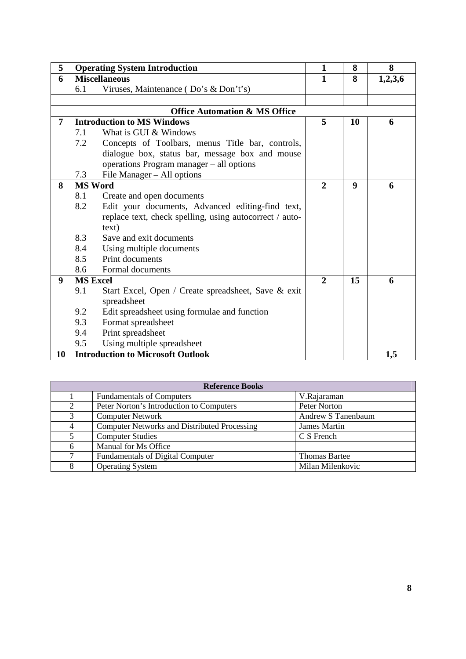| 5                |                 | <b>Operating System Introduction</b>                    | $\mathbf{1}$   | 8  | 8       |
|------------------|-----------------|---------------------------------------------------------|----------------|----|---------|
| 6                |                 | <b>Miscellaneous</b>                                    |                | 8  | 1,2,3,6 |
|                  | 6.1             | Viruses, Maintenance (Do's & Don't's)                   |                |    |         |
|                  |                 |                                                         |                |    |         |
|                  |                 | <b>Office Automation &amp; MS Office</b>                |                |    |         |
| 7                |                 | <b>Introduction to MS Windows</b>                       | 5              | 10 | 6       |
|                  | 7.1             | What is GUI & Windows                                   |                |    |         |
|                  | 7.2             | Concepts of Toolbars, menus Title bar, controls,        |                |    |         |
|                  |                 | dialogue box, status bar, message box and mouse         |                |    |         |
|                  |                 | operations Program manager - all options                |                |    |         |
|                  | 7.3             | File Manager - All options                              |                |    |         |
| 8                | <b>MS Word</b>  |                                                         | $\overline{2}$ | 9  | 6       |
|                  | 8.1             | Create and open documents                               |                |    |         |
|                  | 8.2             | Edit your documents, Advanced editing-find text,        |                |    |         |
|                  |                 | replace text, check spelling, using autocorrect / auto- |                |    |         |
|                  |                 | text)                                                   |                |    |         |
|                  | 8.3             | Save and exit documents                                 |                |    |         |
|                  | 8.4             | Using multiple documents                                |                |    |         |
|                  | 8.5             | Print documents                                         |                |    |         |
|                  | 8.6             | Formal documents                                        |                |    |         |
| $\boldsymbol{9}$ | <b>MS Excel</b> |                                                         | $\overline{2}$ | 15 | 6       |
|                  | 9.1             | Start Excel, Open / Create spreadsheet, Save & exit     |                |    |         |
|                  |                 | spreadsheet                                             |                |    |         |
|                  | 9.2             | Edit spreadsheet using formulae and function            |                |    |         |
|                  | 9.3             | Format spreadsheet                                      |                |    |         |
|                  | 9.4             | Print spreadsheet                                       |                |    |         |
|                  | 9.5             | Using multiple spreadsheet                              |                |    |         |
| 10               |                 | <b>Introduction to Microsoft Outlook</b>                |                |    | 1,5     |

|                | <b>Reference Books</b>                              |                      |  |  |  |
|----------------|-----------------------------------------------------|----------------------|--|--|--|
|                | <b>Fundamentals of Computers</b>                    | V.Rajaraman          |  |  |  |
| $\overline{2}$ | Peter Norton's Introduction to Computers            | Peter Norton         |  |  |  |
| 3              | <b>Computer Network</b>                             | Andrew S Tanenbaum   |  |  |  |
| $\overline{4}$ | <b>Computer Networks and Distributed Processing</b> | James Martin         |  |  |  |
| 5              | <b>Computer Studies</b>                             | C S French           |  |  |  |
| 6              | Manual for Ms Office                                |                      |  |  |  |
| 7              | <b>Fundamentals of Digital Computer</b>             | <b>Thomas Bartee</b> |  |  |  |
| 8              | <b>Operating System</b>                             | Milan Milenkovic     |  |  |  |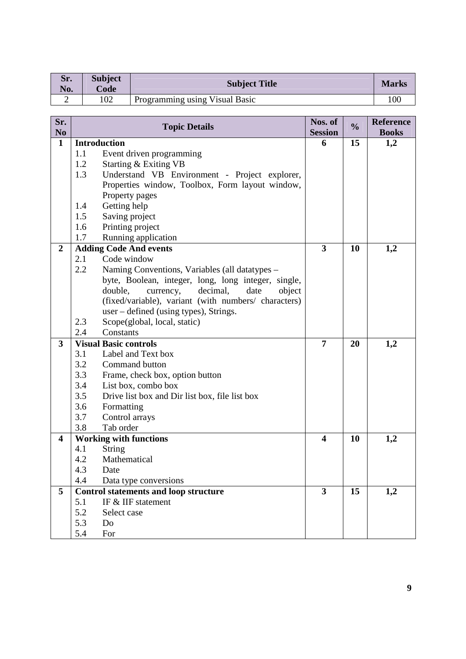| Sr.<br>No. | <b>Subject</b><br>Code | <b>Subject Title</b>           | <b>Marks</b> |
|------------|------------------------|--------------------------------|--------------|
| ∼          | 102                    | Programming using Visual Basic | 100          |

| Sr.<br>N <sub>o</sub>   | <b>Topic Details</b>                                  | Nos. of<br><b>Session</b> | $\frac{0}{0}$ | <b>Reference</b><br><b>Books</b> |
|-------------------------|-------------------------------------------------------|---------------------------|---------------|----------------------------------|
| $\mathbf{1}$            | <b>Introduction</b>                                   | 6                         | 15            | 1,2                              |
|                         | Event driven programming<br>1.1                       |                           |               |                                  |
|                         | 1.2<br>Starting & Exiting VB                          |                           |               |                                  |
|                         | 1.3<br>Understand VB Environment - Project explorer,  |                           |               |                                  |
|                         | Properties window, Toolbox, Form layout window,       |                           |               |                                  |
|                         | Property pages                                        |                           |               |                                  |
|                         | Getting help<br>1.4                                   |                           |               |                                  |
|                         | 1.5<br>Saving project                                 |                           |               |                                  |
|                         | Printing project<br>1.6                               |                           |               |                                  |
|                         | Running application<br>1.7                            |                           |               |                                  |
| $\boldsymbol{2}$        | <b>Adding Code And events</b>                         | 3                         | 10            | 1,2                              |
|                         | 2.1<br>Code window                                    |                           |               |                                  |
|                         | 2.2<br>Naming Conventions, Variables (all datatypes - |                           |               |                                  |
|                         | byte, Boolean, integer, long, long integer, single,   |                           |               |                                  |
|                         | double,<br>currency,<br>decimal,<br>date<br>object    |                           |               |                                  |
|                         | (fixed/variable), variant (with numbers/ characters)  |                           |               |                                  |
|                         | user – defined (using types), Strings.                |                           |               |                                  |
|                         | 2.3<br>Scope(global, local, static)                   |                           |               |                                  |
|                         | 2.4<br>Constants                                      |                           |               |                                  |
| 3                       | <b>Visual Basic controls</b>                          | 7                         | 20            | 1,2                              |
|                         | Label and Text box<br>3.1                             |                           |               |                                  |
|                         | 3.2<br>Command button                                 |                           |               |                                  |
|                         | 3.3<br>Frame, check box, option button                |                           |               |                                  |
|                         | 3.4<br>List box, combo box                            |                           |               |                                  |
|                         | 3.5<br>Drive list box and Dir list box, file list box |                           |               |                                  |
|                         | Formatting<br>3.6                                     |                           |               |                                  |
|                         | 3.7<br>Control arrays                                 |                           |               |                                  |
|                         | 3.8<br>Tab order                                      |                           |               |                                  |
| $\overline{\mathbf{4}}$ | <b>Working with functions</b>                         | 4                         | 10            | 1,2                              |
|                         | <b>String</b><br>4.1                                  |                           |               |                                  |
|                         | Mathematical<br>4.2                                   |                           |               |                                  |
|                         | 4.3<br>Date                                           |                           |               |                                  |
|                         | 4.4<br>Data type conversions                          |                           |               |                                  |
| 5                       | <b>Control statements and loop structure</b>          | 3                         | 15            | 1,2                              |
|                         | IF & IIF statement<br>5.1                             |                           |               |                                  |
|                         | 5.2<br>Select case                                    |                           |               |                                  |
|                         | 5.3<br>Do                                             |                           |               |                                  |
|                         | 5.4<br>For                                            |                           |               |                                  |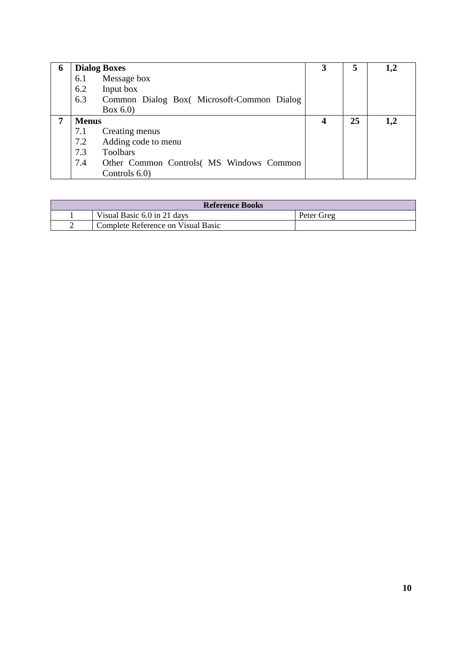| 6 |              | <b>Dialog Boxes</b>                       | 3 | 5  | 1,2 |
|---|--------------|-------------------------------------------|---|----|-----|
|   | 6.1          | Message box                               |   |    |     |
|   | 6.2          | Input box                                 |   |    |     |
|   | 6.3          | Common Dialog Box(Microsoft-Common Dialog |   |    |     |
|   |              | Box $6.0$                                 |   |    |     |
| 7 | <b>Menus</b> |                                           | 4 | 25 | 1,2 |
|   | 7.1          | Creating menus                            |   |    |     |
|   | 7.2          | Adding code to menu                       |   |    |     |
|   | 7.3          | <b>Toolbars</b>                           |   |    |     |
|   | 7.4          | Other Common Controls( MS Windows Common  |   |    |     |
|   |              | Controls 6.0)                             |   |    |     |

| <b>Reference Books</b> |                                    |            |  |
|------------------------|------------------------------------|------------|--|
|                        | Visual Basic 6.0 in 21 days        | Peter Greg |  |
|                        | Complete Reference on Visual Basic |            |  |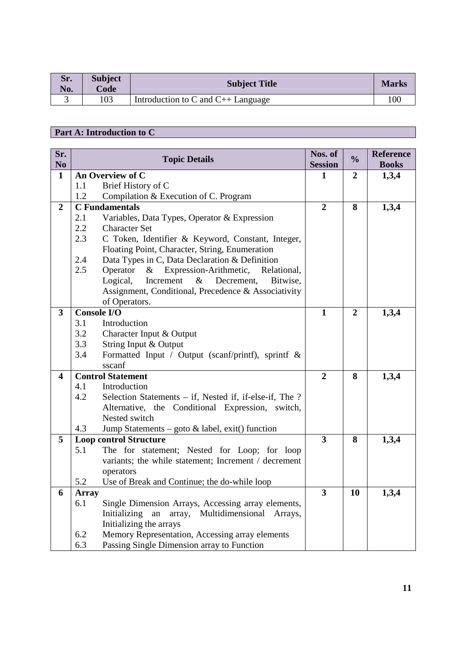| Sr.<br>No. | <b>Subject</b><br>Code | <b>Subject Title</b>                      | <b>Marks</b> |
|------------|------------------------|-------------------------------------------|--------------|
|            | 103                    | Introduction to $C$ and $C_{++}$ Language | 100          |

## **Part A: Introduction to C**

| Sr.<br>N <sub>0</sub>   |                                    | <b>Topic Details</b>                                     | Nos. of<br><b>Session</b> | $\frac{0}{0}$    | <b>Reference</b><br><b>Books</b> |
|-------------------------|------------------------------------|----------------------------------------------------------|---------------------------|------------------|----------------------------------|
| $\mathbf{1}$            |                                    | An Overview of C                                         | 1                         | $\boldsymbol{2}$ | 1,3,4                            |
|                         | 1.1                                | Brief History of C                                       |                           |                  |                                  |
|                         | 1.2                                | Compilation & Execution of C. Program                    |                           |                  |                                  |
| $\overline{2}$          |                                    | <b>C</b> Fundamentals                                    | $\overline{2}$            | 8                | 1,3,4                            |
|                         | 2.1                                | Variables, Data Types, Operator & Expression             |                           |                  |                                  |
|                         | 2.2                                | <b>Character Set</b>                                     |                           |                  |                                  |
|                         | 2.3                                | C Token, Identifier & Keyword, Constant, Integer,        |                           |                  |                                  |
|                         |                                    | Floating Point, Character, String, Enumeration           |                           |                  |                                  |
|                         | 2.4                                | Data Types in C, Data Declaration & Definition           |                           |                  |                                  |
|                         | 2.5                                | Operator<br>& Expression-Arithmetic, Relational,         |                           |                  |                                  |
|                         |                                    | Logical,<br>Increment<br>Decrement,<br>$\&$<br>Bitwise,  |                           |                  |                                  |
|                         |                                    | Assignment, Conditional, Precedence & Associativity      |                           |                  |                                  |
|                         |                                    | of Operators.                                            |                           |                  |                                  |
| $\overline{\mathbf{3}}$ | <b>Console I/O</b>                 |                                                          | $\mathbf{1}$              | $\overline{2}$   | 1,3,4                            |
|                         | 3.1                                | Introduction                                             |                           |                  |                                  |
|                         | 3.2                                | Character Input & Output                                 |                           |                  |                                  |
|                         | 3.3                                | String Input & Output                                    |                           |                  |                                  |
|                         | 3.4                                | Formatted Input / Output (scanf/printf), sprintf $\&$    |                           |                  |                                  |
| $\overline{\mathbf{4}}$ | sscanf<br><b>Control Statement</b> |                                                          |                           | 8                |                                  |
|                         | 4.1                                | Introduction                                             | $\overline{2}$            |                  | 1,3,4                            |
|                         | 4.2                                | Selection Statements – if, Nested if, if-else-if, The ?  |                           |                  |                                  |
|                         |                                    | Alternative, the Conditional Expression, switch,         |                           |                  |                                  |
|                         |                                    | Nested switch                                            |                           |                  |                                  |
|                         | 4.3                                | Jump Statements – goto $\&$ label, exit() function       |                           |                  |                                  |
| 5                       |                                    | <b>Loop control Structure</b>                            | $\overline{\mathbf{3}}$   | 8                | 1,3,4                            |
|                         | 5.1                                | The for statement; Nested for Loop; for loop             |                           |                  |                                  |
|                         |                                    | variants; the while statement; Increment / decrement     |                           |                  |                                  |
|                         |                                    | operators                                                |                           |                  |                                  |
|                         | 5.2                                | Use of Break and Continue; the do-while loop             |                           |                  |                                  |
| 6                       | <b>Array</b>                       |                                                          | $\overline{\mathbf{3}}$   | 10               | 1,3,4                            |
|                         | 6.1                                | Single Dimension Arrays, Accessing array elements,       |                           |                  |                                  |
|                         |                                    | Initializing<br>an<br>Multidimensional Arrays,<br>array, |                           |                  |                                  |
|                         |                                    | Initializing the arrays                                  |                           |                  |                                  |
|                         | 6.2                                | Memory Representation, Accessing array elements          |                           |                  |                                  |
|                         | 6.3                                | Passing Single Dimension array to Function               |                           |                  |                                  |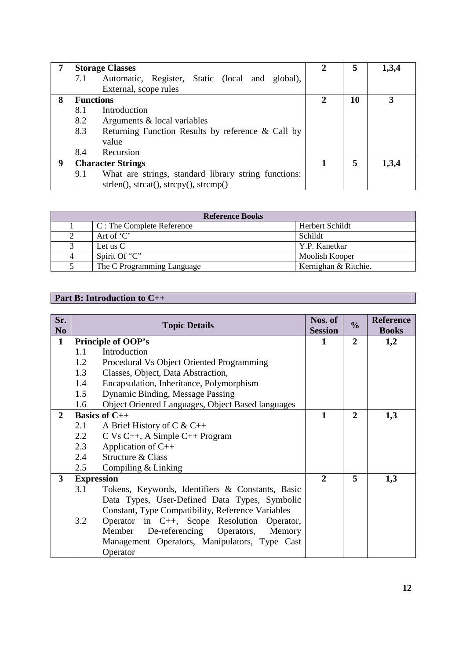|   |                          | <b>Storage Classes</b>                                                        |   | 5  | 1,3,4 |
|---|--------------------------|-------------------------------------------------------------------------------|---|----|-------|
|   | 7.1                      | Automatic, Register, Static (local and global),                               |   |    |       |
|   |                          | External, scope rules                                                         |   |    |       |
| 8 |                          | <b>Functions</b>                                                              | 2 | 10 | 3     |
|   | 8.1                      | Introduction                                                                  |   |    |       |
|   | 8.2                      | Arguments & local variables                                                   |   |    |       |
|   | 8.3                      | Returning Function Results by reference & Call by                             |   |    |       |
|   |                          | value                                                                         |   |    |       |
|   | 8.4                      | Recursion                                                                     |   |    |       |
| 9 | <b>Character Strings</b> |                                                                               |   | 5  | 1,3,4 |
|   | 9.1                      | What are strings, standard library string functions:                          |   |    |       |
|   |                          | $\text{strlen}()$ , $\text{strcat}()$ , $\text{strcpy}()$ , $\text{strcmp}()$ |   |    |       |

|   | <b>Reference Books</b>     |                      |  |  |  |
|---|----------------------------|----------------------|--|--|--|
|   | C: The Complete Reference  | Herbert Schildt      |  |  |  |
|   | Art of $C'$                | Schildt              |  |  |  |
|   | Let us $C$                 | Y.P. Kanetkar        |  |  |  |
| 4 | Spirit Of "C"              | Moolish Kooper       |  |  |  |
|   | The C Programming Language | Kernighan & Ritchie. |  |  |  |

## **Part B: Introduction to C++**

| Sr.<br>N <sub>0</sub> |                   | <b>Topic Details</b>                              |              | $\frac{0}{0}$  | <b>Reference</b><br><b>Books</b> |
|-----------------------|-------------------|---------------------------------------------------|--------------|----------------|----------------------------------|
| $\mathbf{1}$          |                   | <b>Principle of OOP's</b>                         | 1            | $\overline{2}$ | 1,2                              |
|                       | 1.1               | Introduction                                      |              |                |                                  |
|                       | 1.2               | Procedural Vs Object Oriented Programming         |              |                |                                  |
|                       | 1.3               | Classes, Object, Data Abstraction,                |              |                |                                  |
|                       | 1.4               | Encapsulation, Inheritance, Polymorphism          |              |                |                                  |
|                       | 1.5               | Dynamic Binding, Message Passing                  |              |                |                                  |
|                       | 1.6               | Object Oriented Languages, Object Based languages |              |                |                                  |
| $\mathbf{2}$          |                   | <b>Basics of C++</b>                              | $\mathbf{1}$ | $\overline{2}$ | 1,3                              |
|                       | 2.1               | A Brief History of C & C++                        |              |                |                                  |
|                       | 2.2               | $C$ Vs C++, A Simple C++ Program                  |              |                |                                  |
|                       | 2.3               | Application of $C++$                              |              |                |                                  |
|                       | 2.4               | Structure & Class                                 |              |                |                                  |
|                       | 2.5               | Compiling $&$ Linking                             |              |                |                                  |
| 3                     | <b>Expression</b> |                                                   | $\mathbf{2}$ | 5              | 1,3                              |
|                       | 3.1               | Tokens, Keywords, Identifiers & Constants, Basic  |              |                |                                  |
|                       |                   | Data Types, User-Defined Data Types, Symbolic     |              |                |                                  |
|                       |                   | Constant, Type Compatibility, Reference Variables |              |                |                                  |
|                       | 3.2               | Operator in C++, Scope Resolution Operator,       |              |                |                                  |
|                       |                   | De-referencing Operators, Memory<br>Member        |              |                |                                  |
|                       |                   | Management Operators, Manipulators, Type Cast     |              |                |                                  |
|                       |                   | Operator                                          |              |                |                                  |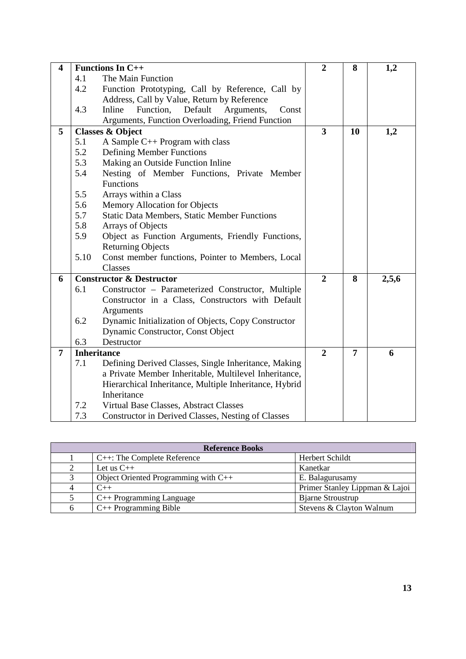| $\overline{\mathbf{4}}$ |      | <b>Functions In C++</b>                                | $\overline{2}$          | 8  | 1,2   |
|-------------------------|------|--------------------------------------------------------|-------------------------|----|-------|
|                         | 4.1  | The Main Function                                      |                         |    |       |
|                         | 4.2  | Function Prototyping, Call by Reference, Call by       |                         |    |       |
|                         |      | Address, Call by Value, Return by Reference            |                         |    |       |
|                         | 4.3  | Function,<br>Default<br>Inline<br>Arguments,<br>Const  |                         |    |       |
|                         |      | Arguments, Function Overloading, Friend Function       |                         |    |       |
| 5                       |      | <b>Classes &amp; Object</b>                            | $\overline{\mathbf{3}}$ | 10 | 1,2   |
|                         | 5.1  | A Sample C++ Program with class                        |                         |    |       |
|                         | 5.2  | <b>Defining Member Functions</b>                       |                         |    |       |
|                         | 5.3  | Making an Outside Function Inline                      |                         |    |       |
|                         | 5.4  | Nesting of Member Functions, Private Member            |                         |    |       |
|                         |      | Functions                                              |                         |    |       |
|                         | 5.5  | Arrays within a Class                                  |                         |    |       |
|                         | 5.6  | Memory Allocation for Objects                          |                         |    |       |
|                         | 5.7  | <b>Static Data Members, Static Member Functions</b>    |                         |    |       |
|                         | 5.8  | Arrays of Objects                                      |                         |    |       |
|                         | 5.9  | Object as Function Arguments, Friendly Functions,      |                         |    |       |
|                         |      | <b>Returning Objects</b>                               |                         |    |       |
|                         | 5.10 | Const member functions, Pointer to Members, Local      |                         |    |       |
|                         |      | Classes                                                |                         |    |       |
| 6                       |      | <b>Constructor &amp; Destructor</b>                    | $\overline{2}$          | 8  | 2,5,6 |
|                         | 6.1  | Constructor - Parameterized Constructor, Multiple      |                         |    |       |
|                         |      | Constructor in a Class, Constructors with Default      |                         |    |       |
|                         |      | Arguments                                              |                         |    |       |
|                         | 6.2  | Dynamic Initialization of Objects, Copy Constructor    |                         |    |       |
|                         |      | Dynamic Constructor, Const Object                      |                         |    |       |
|                         | 6.3  | Destructor                                             |                         |    |       |
| $\overline{7}$          |      | <b>Inheritance</b>                                     | $\overline{2}$          | 7  | 6     |
|                         | 7.1  | Defining Derived Classes, Single Inheritance, Making   |                         |    |       |
|                         |      | a Private Member Inheritable, Multilevel Inheritance,  |                         |    |       |
|                         |      | Hierarchical Inheritance, Multiple Inheritance, Hybrid |                         |    |       |
|                         |      | Inheritance                                            |                         |    |       |
|                         | 7.2  | Virtual Base Classes, Abstract Classes                 |                         |    |       |
|                         | 7.3  | Constructor in Derived Classes, Nesting of Classes     |                         |    |       |

|   | <b>Reference Books</b>                 |                                |  |  |  |
|---|----------------------------------------|--------------------------------|--|--|--|
|   | C++: The Complete Reference            | Herbert Schildt                |  |  |  |
|   | Let us $C_{++}$                        | Kanetkar                       |  |  |  |
| 3 | Object Oriented Programming with $C++$ | E. Balagurusamy                |  |  |  |
|   | $C_{++}$                               | Primer Stanley Lippman & Lajoi |  |  |  |
|   | $C++$ Programming Language             | <b>Bjarne Stroustrup</b>       |  |  |  |
| 6 | $C++$ Programming Bible                | Stevens & Clayton Walnum       |  |  |  |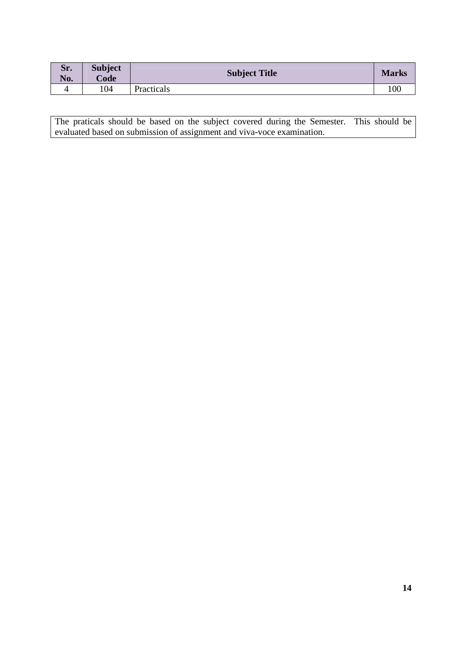| Sr.<br>No. | <b>Subject</b><br>Code | <b>Subject Title</b> | <b>Marks</b> |
|------------|------------------------|----------------------|--------------|
|            | 104                    | Practicals           |              |

The praticals should be based on the subject covered during the Semester. This should be evaluated based on submission of assignment and viva-voce examination.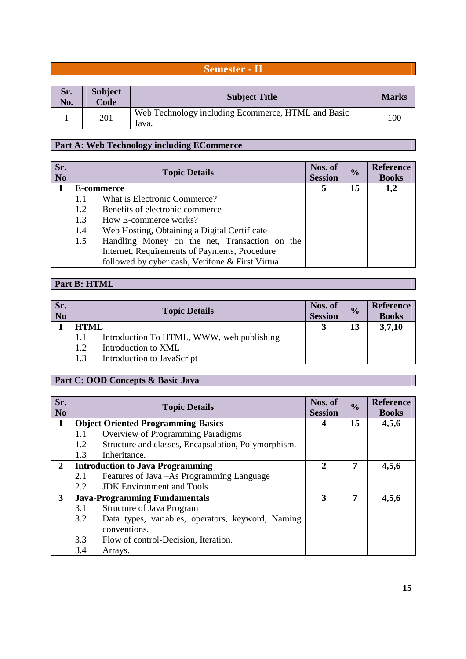## **Semester - II**

| Sr.<br>No. | <b>Subject</b><br>Code | <b>Subject Title</b>                                        | <b>Marks</b> |
|------------|------------------------|-------------------------------------------------------------|--------------|
|            | 201                    | Web Technology including Ecommerce, HTML and Basic<br>Java. | 100          |

# **Part A: Web Technology including ECommerce**

| Sr.<br>N <sub>0</sub> |     | <b>Topic Details</b>                             | Nos. of<br><b>Session</b> | $\frac{0}{0}$ | <b>Reference</b><br><b>Books</b> |
|-----------------------|-----|--------------------------------------------------|---------------------------|---------------|----------------------------------|
| 1                     |     | E-commerce                                       |                           |               | 1,2                              |
|                       | 1.1 | What is Electronic Commerce?                     |                           |               |                                  |
|                       | 1.2 | Benefits of electronic commerce                  |                           |               |                                  |
|                       | 1.3 | How E-commerce works?                            |                           |               |                                  |
|                       | 1.4 | Web Hosting, Obtaining a Digital Certificate     |                           |               |                                  |
|                       | 1.5 | Handling Money on the net, Transaction on the    |                           |               |                                  |
|                       |     | Internet, Requirements of Payments, Procedure    |                           |               |                                  |
|                       |     | followed by cyber cash, Verifone & First Virtual |                           |               |                                  |

# **Part B: HTML**

| Sr.<br>N <sub>0</sub> |     | <b>Topic Details</b>                      | Nos. of<br><b>Session</b> | $\frac{0}{0}$ | <b>Reference</b><br><b>Books</b> |
|-----------------------|-----|-------------------------------------------|---------------------------|---------------|----------------------------------|
|                       |     | <b>HTML</b>                               |                           |               | 3,7,10                           |
|                       | 1.1 | Introduction To HTML, WWW, web publishing |                           |               |                                  |
|                       | 1.2 | Introduction to XML                       |                           |               |                                  |
|                       | 1.3 | Introduction to JavaScript                |                           |               |                                  |

## **Part C: OOD Concepts & Basic Java**

| Sr.<br>N <sub>0</sub> | <b>Topic Details</b>                                       | Nos. of<br><b>Session</b> | $\frac{0}{0}$ | <b>Reference</b><br><b>Books</b> |
|-----------------------|------------------------------------------------------------|---------------------------|---------------|----------------------------------|
| $\mathbf{1}$          | <b>Object Oriented Programming-Basics</b>                  | 4                         | 15            | 4,5,6                            |
|                       | <b>Overview of Programming Paradigms</b><br>1.1            |                           |               |                                  |
|                       | Structure and classes, Encapsulation, Polymorphism.<br>1.2 |                           |               |                                  |
|                       | 1.3<br>Inheritance.                                        |                           |               |                                  |
| $\overline{2}$        | <b>Introduction to Java Programming</b>                    | 2                         | 7             | 4,5,6                            |
|                       | Features of Java – As Programming Language<br>2.1          |                           |               |                                  |
|                       | <b>JDK</b> Environment and Tools<br>2.2                    |                           |               |                                  |
| 3                     | <b>Java-Programming Fundamentals</b>                       | 3                         | 7             | 4,5,6                            |
|                       | <b>Structure of Java Program</b><br>3.1                    |                           |               |                                  |
|                       | Data types, variables, operators, keyword, Naming<br>3.2   |                           |               |                                  |
|                       | conventions.                                               |                           |               |                                  |
|                       | 3.3<br>Flow of control-Decision, Iteration.                |                           |               |                                  |
|                       | 3.4<br>Arrays.                                             |                           |               |                                  |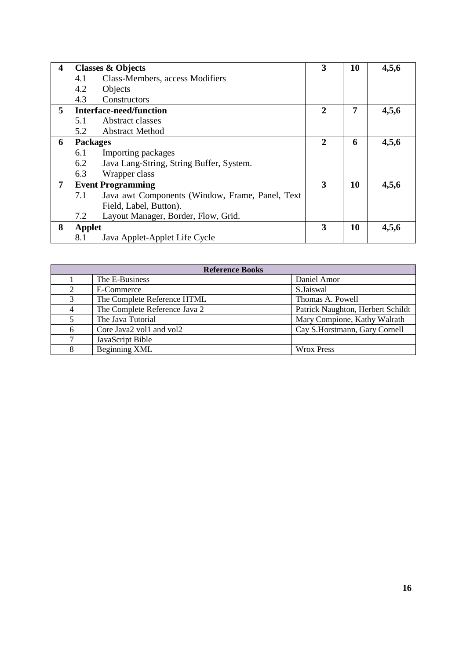| 4 | <b>Classes &amp; Objects</b>                           | 3            | 10 | 4,5,6 |
|---|--------------------------------------------------------|--------------|----|-------|
|   | Class-Members, access Modifiers<br>4.1                 |              |    |       |
|   | 4.2<br>Objects                                         |              |    |       |
|   | 4.3<br>Constructors                                    |              |    |       |
| 5 | <b>Interface-need/function</b>                         | 2            | 7  | 4,5,6 |
|   | Abstract classes<br>5.1                                |              |    |       |
|   | 5.2<br><b>Abstract Method</b>                          |              |    |       |
| 6 | <b>Packages</b>                                        | $\mathbf{2}$ | 6  | 4,5,6 |
|   | 6.1<br>Importing packages                              |              |    |       |
|   | 6.2<br>Java Lang-String, String Buffer, System.        |              |    |       |
|   | 6.3<br>Wrapper class                                   |              |    |       |
| 7 | <b>Event Programming</b>                               | 3            | 10 | 4,5,6 |
|   | Java awt Components (Window, Frame, Panel, Text<br>7.1 |              |    |       |
|   | Field, Label, Button).                                 |              |    |       |
|   | 7.2<br>Layout Manager, Border, Flow, Grid.             |              |    |       |
| 8 | <b>Applet</b>                                          | 3            | 10 | 4,5,6 |
|   | 8.1<br>Java Applet-Applet Life Cycle                   |              |    |       |

|   | <b>Reference Books</b>        |                                   |  |  |  |
|---|-------------------------------|-----------------------------------|--|--|--|
|   | The E-Business                | Daniel Amor                       |  |  |  |
| 2 | E-Commerce                    | S.Jaiswal                         |  |  |  |
| 3 | The Complete Reference HTML   | Thomas A. Powell                  |  |  |  |
| 4 | The Complete Reference Java 2 | Patrick Naughton, Herbert Schildt |  |  |  |
| 5 | The Java Tutorial             | Mary Compione, Kathy Walrath      |  |  |  |
| 6 | Core Java2 vol1 and vol2      | Cay S.Horstmann, Gary Cornell     |  |  |  |
| ⇁ | JavaScript Bible              |                                   |  |  |  |
| 8 | Beginning XML                 | <b>Wrox Press</b>                 |  |  |  |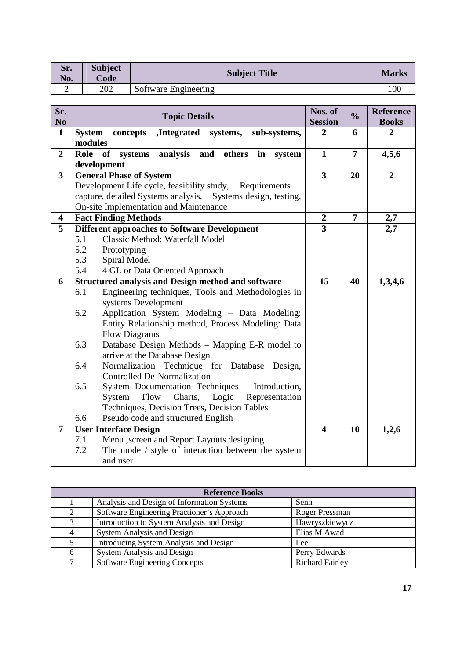| Sr.<br>No. | <b>Subject</b><br>Code | <b>Subject Title</b> | <b>Marks</b> |
|------------|------------------------|----------------------|--------------|
| ∼          | 202                    | Software Engineering | l OC         |

| Sr.<br>N <sub>0</sub>   | <b>Topic Details</b>                                                         | Nos. of<br><b>Session</b> | $\frac{1}{2}$  | <b>Reference</b><br><b>Books</b> |
|-------------------------|------------------------------------------------------------------------------|---------------------------|----------------|----------------------------------|
| $\mathbf{1}$            | <b>System</b><br>concepts<br>,Integrated systems,<br>sub-systems,<br>modules | $\overline{2}$            | 6              | $\overline{2}$                   |
| $\overline{2}$          | Role<br>of<br>analysis and others in<br>systems<br>system<br>development     | $\mathbf{1}$              | $\overline{7}$ | 4,5,6                            |
| $\overline{\mathbf{3}}$ | <b>General Phase of System</b>                                               | $\overline{\mathbf{3}}$   | 20             | $\overline{2}$                   |
|                         | Development Life cycle, feasibility study, Requirements                      |                           |                |                                  |
|                         | capture, detailed Systems analysis, Systems design, testing,                 |                           |                |                                  |
|                         | On-site Implementation and Maintenance                                       |                           |                |                                  |
| 4                       | <b>Fact Finding Methods</b>                                                  | $\boldsymbol{2}$          | $\overline{7}$ | 2,7                              |
| 5                       | <b>Different approaches to Software Development</b>                          | 3                         |                | 2,7                              |
|                         | 5.1<br>Classic Method: Waterfall Model                                       |                           |                |                                  |
|                         | 5.2<br>Prototyping                                                           |                           |                |                                  |
|                         | 5.3<br>Spiral Model                                                          |                           |                |                                  |
|                         | 5.4<br>4 GL or Data Oriented Approach                                        |                           |                |                                  |
| 6                       | <b>Structured analysis and Design method and software</b>                    | 15                        | 40             | 1,3,4,6                          |
|                         | Engineering techniques, Tools and Methodologies in<br>6.1                    |                           |                |                                  |
|                         | systems Development                                                          |                           |                |                                  |
|                         | Application System Modeling - Data Modeling:<br>6.2                          |                           |                |                                  |
|                         | Entity Relationship method, Process Modeling: Data                           |                           |                |                                  |
|                         | <b>Flow Diagrams</b>                                                         |                           |                |                                  |
|                         | 6.3<br>Database Design Methods - Mapping E-R model to                        |                           |                |                                  |
|                         | arrive at the Database Design                                                |                           |                |                                  |
|                         | Normalization Technique for Database Design,<br>6.4                          |                           |                |                                  |
|                         | <b>Controlled De-Normalization</b>                                           |                           |                |                                  |
|                         | 6.5<br>System Documentation Techniques - Introduction,                       |                           |                |                                  |
|                         | Logic<br>System<br>Flow<br>Charts,<br>Representation                         |                           |                |                                  |
|                         | Techniques, Decision Trees, Decision Tables                                  |                           |                |                                  |
|                         | 6.6<br>Pseudo code and structured English                                    |                           |                |                                  |
| $\overline{7}$          | <b>User Interface Design</b>                                                 | $\overline{\mathbf{4}}$   | 10             | 1,2,6                            |
|                         | Menu , screen and Report Layouts designing<br>7.1                            |                           |                |                                  |
|                         | 7.2<br>The mode / style of interaction between the system                    |                           |                |                                  |
|                         | and user                                                                     |                           |                |                                  |

|              | <b>Reference Books</b>                     |                        |  |  |  |
|--------------|--------------------------------------------|------------------------|--|--|--|
|              | Analysis and Design of Information Systems | Senn                   |  |  |  |
|              | Software Engineering Practioner's Approach | Roger Pressman         |  |  |  |
| $\mathbf{c}$ | Introduction to System Analysis and Design | Hawryszkiewycz         |  |  |  |
|              | <b>System Analysis and Design</b>          | Elias M Awad           |  |  |  |
|              | Introducing System Analysis and Design     | Lee                    |  |  |  |
| 6            | System Analysis and Design                 | Perry Edwards          |  |  |  |
|              | <b>Software Engineering Concepts</b>       | <b>Richard Fairley</b> |  |  |  |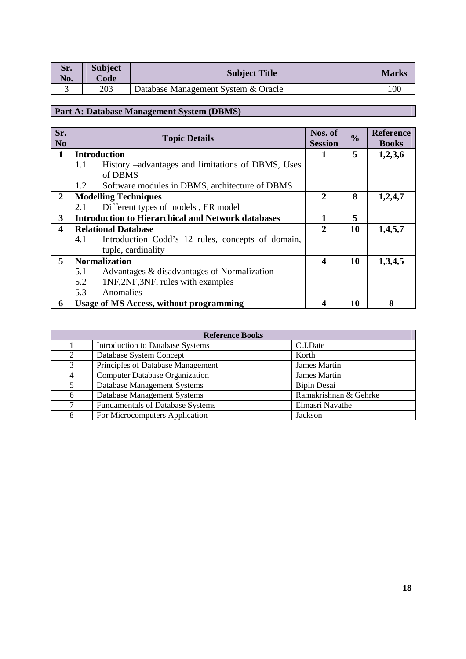| Sr.<br>No. | <b>Subject</b><br>Code | <b>Subject Title</b>                | <b>Marks</b> |
|------------|------------------------|-------------------------------------|--------------|
|            | 203                    | Database Management System & Oracle | 100          |

# **Part A: Database Management System (DBMS)**

| Sr.<br>N <sub>0</sub> | <b>Topic Details</b>                                      | Nos. of<br><b>Session</b> | $\frac{0}{0}$ | <b>Reference</b><br><b>Books</b> |
|-----------------------|-----------------------------------------------------------|---------------------------|---------------|----------------------------------|
| 1                     | <b>Introduction</b>                                       | 1                         | 5             | 1,2,3,6                          |
|                       | History –advantages and limitations of DBMS, Uses<br>1.1  |                           |               |                                  |
|                       | of DBMS                                                   |                           |               |                                  |
|                       | Software modules in DBMS, architecture of DBMS<br>1.2     |                           |               |                                  |
| $\overline{2}$        | <b>Modelling Techniques</b>                               | $\overline{2}$            | 8             | 1,2,4,7                          |
|                       | Different types of models, ER model<br>2.1                |                           |               |                                  |
| 3                     | <b>Introduction to Hierarchical and Network databases</b> |                           | 5             |                                  |
| 4                     | <b>Relational Database</b>                                | $\mathbf{2}$              | 10            | 1,4,5,7                          |
|                       | 4.1<br>Introduction Codd's 12 rules, concepts of domain,  |                           |               |                                  |
|                       | tuple, cardinality                                        |                           |               |                                  |
| 5                     | <b>Normalization</b>                                      | $\boldsymbol{4}$          | 10            | 1,3,4,5                          |
|                       | 5.1<br>Advantages & disadvantages of Normalization        |                           |               |                                  |
|                       | 5.2<br>1NF, 2NF, 3NF, rules with examples                 |                           |               |                                  |
|                       | 5.3<br>Anomalies                                          |                           |               |                                  |
| 6                     | <b>Usage of MS Access, without programming</b>            | 4                         | 10            | 8                                |

|                | <b>Reference Books</b>                  |                       |  |  |  |
|----------------|-----------------------------------------|-----------------------|--|--|--|
|                | Introduction to Database Systems        | C.J.Date              |  |  |  |
| 2              | Database System Concept                 | Korth                 |  |  |  |
| 3              | Principles of Database Management       | <b>James Martin</b>   |  |  |  |
| $\overline{4}$ | <b>Computer Database Organization</b>   | <b>James Martin</b>   |  |  |  |
| 5              | Database Management Systems             | <b>Bipin Desai</b>    |  |  |  |
| 6              | Database Management Systems             | Ramakrishnan & Gehrke |  |  |  |
| 7              | <b>Fundamentals of Database Systems</b> | Elmasri Navathe       |  |  |  |
| 8              | For Microcomputers Application          | Jackson               |  |  |  |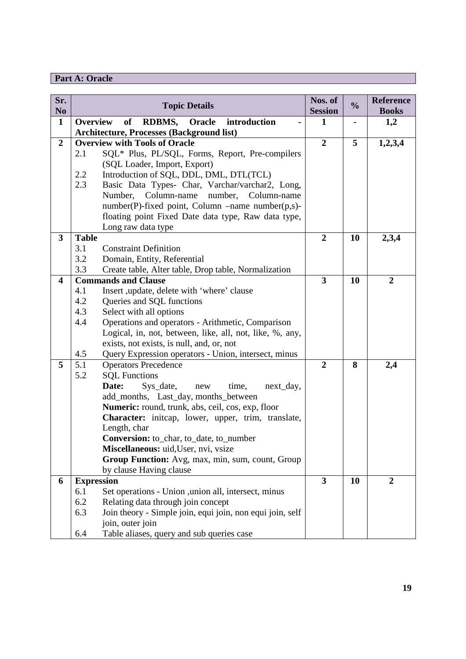## **Part A: Oracle**

| Sr.<br>N <sub>0</sub> | <b>Topic Details</b>                                                            | Nos. of<br><b>Session</b> | $\frac{0}{0}$  | <b>Reference</b><br><b>Books</b> |
|-----------------------|---------------------------------------------------------------------------------|---------------------------|----------------|----------------------------------|
| $\mathbf{1}$          | of<br><b>Overview</b><br>RDBMS, Oracle<br>introduction                          | 1                         | $\blacksquare$ | 1,2                              |
|                       | <b>Architecture, Processes (Background list)</b>                                |                           |                |                                  |
| $\boldsymbol{2}$      | <b>Overview with Tools of Oracle</b>                                            | $\overline{2}$            | 5              | 1,2,3,4                          |
|                       | SQL* Plus, PL/SQL, Forms, Report, Pre-compilers<br>2.1                          |                           |                |                                  |
|                       | (SQL Loader, Import, Export)                                                    |                           |                |                                  |
|                       | 2.2<br>Introduction of SQL, DDL, DML, DTL(TCL)                                  |                           |                |                                  |
|                       | 2.3<br>Basic Data Types- Char, Varchar/varchar2, Long,                          |                           |                |                                  |
|                       | Number,<br>Column-name<br>number,<br>Column-name                                |                           |                |                                  |
|                       | number(P)-fixed point, Column –name number(p,s)-                                |                           |                |                                  |
|                       | floating point Fixed Date data type, Raw data type,                             |                           |                |                                  |
|                       | Long raw data type                                                              |                           |                |                                  |
| 3                     | <b>Table</b>                                                                    | $\boldsymbol{2}$          | 10             | 2,3,4                            |
|                       | 3.1<br><b>Constraint Definition</b>                                             |                           |                |                                  |
|                       | 3.2<br>Domain, Entity, Referential                                              |                           |                |                                  |
|                       | 3.3<br>Create table, Alter table, Drop table, Normalization                     | 3                         |                |                                  |
| 4                     | <b>Commands and Clause</b><br>4.1                                               |                           | 10             | $\boldsymbol{2}$                 |
|                       | Insert , update, delete with 'where' clause<br>4.2<br>Queries and SQL functions |                           |                |                                  |
|                       | 4.3<br>Select with all options                                                  |                           |                |                                  |
|                       | Operations and operators - Arithmetic, Comparison<br>4.4                        |                           |                |                                  |
|                       | Logical, in, not, between, like, all, not, like, %, any,                        |                           |                |                                  |
|                       | exists, not exists, is null, and, or, not                                       |                           |                |                                  |
|                       | 4.5<br>Query Expression operators - Union, intersect, minus                     |                           |                |                                  |
| 5                     | 5.1<br><b>Operators Precedence</b>                                              | $\overline{2}$            | 8              | 2,4                              |
|                       | 5.2<br><b>SQL Functions</b>                                                     |                           |                |                                  |
|                       | Date:<br>Sys_date,<br>time,<br>next_day,<br>new                                 |                           |                |                                  |
|                       | add_months, Last_day, months_between                                            |                           |                |                                  |
|                       | Numeric: round, trunk, abs, ceil, cos, exp, floor                               |                           |                |                                  |
|                       | Character: initcap, lower, upper, trim, translate,                              |                           |                |                                  |
|                       | Length, char                                                                    |                           |                |                                  |
|                       | Conversion: to_char, to_date, to_number                                         |                           |                |                                  |
|                       | Miscellaneous: uid, User, nvi, vsize                                            |                           |                |                                  |
|                       | Group Function: Avg, max, min, sum, count, Group                                |                           |                |                                  |
|                       | by clause Having clause                                                         |                           |                |                                  |
| 6                     | <b>Expression</b>                                                               | $\overline{\mathbf{3}}$   | 10             | $\overline{2}$                   |
|                       | Set operations - Union , union all, intersect, minus<br>6.1                     |                           |                |                                  |
|                       | 6.2<br>Relating data through join concept                                       |                           |                |                                  |
|                       | 6.3<br>Join theory - Simple join, equi join, non equi join, self                |                           |                |                                  |
|                       | join, outer join                                                                |                           |                |                                  |
|                       | Table aliases, query and sub queries case<br>6.4                                |                           |                |                                  |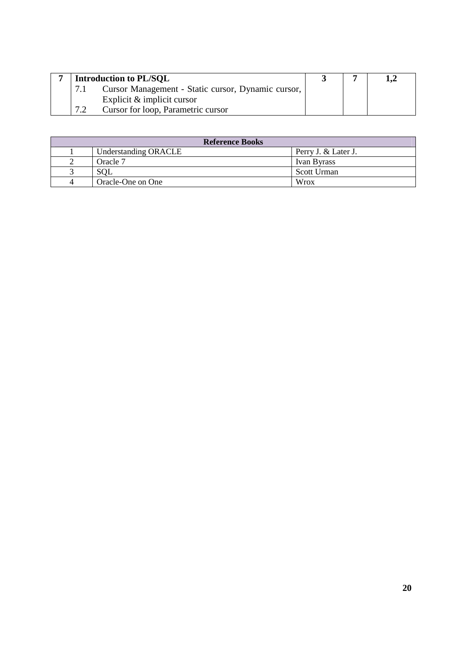|     | <b>Introduction to PL/SQL</b>                      |  |  |
|-----|----------------------------------------------------|--|--|
|     | Cursor Management - Static cursor, Dynamic cursor, |  |  |
|     | Explicit $\&$ implicit cursor                      |  |  |
| 7.2 | Cursor for loop, Parametric cursor                 |  |  |

| <b>Reference Books</b> |                      |                     |  |  |
|------------------------|----------------------|---------------------|--|--|
|                        | Understanding ORACLE | Perry J. & Later J. |  |  |
|                        | Oracle 7             | Ivan Byrass         |  |  |
|                        | SQL                  | Scott Urman         |  |  |
| 4                      | Oracle-One on One    | Wrox                |  |  |